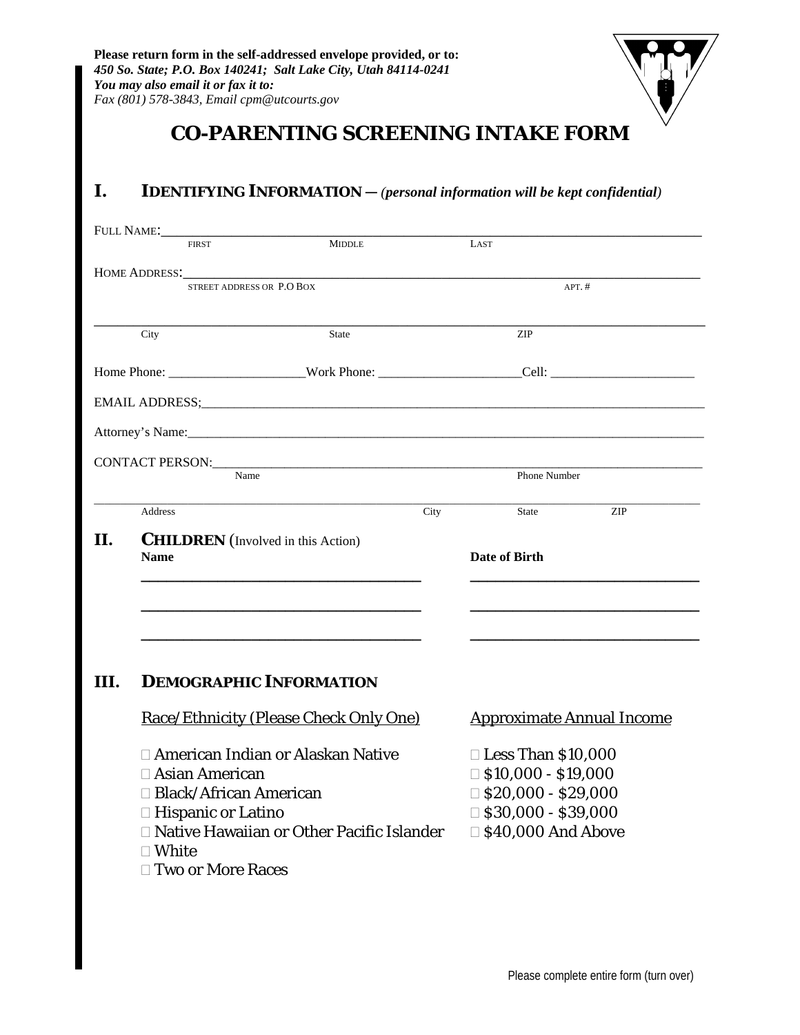

# **CO-PARENTING SCREENING INTAKE FORM**

## **I.** IDENTIFYING INFORMATION — (*personal information will be kept confidential*)

|                                                                                                                                                                                                                                                                                                                                                                                                                                                                                                                                                                                                                                                                                                                                                                                                                                                | <b>FIRST</b>        | <b>MIDDLE</b>             |  | LAST       |  |
|------------------------------------------------------------------------------------------------------------------------------------------------------------------------------------------------------------------------------------------------------------------------------------------------------------------------------------------------------------------------------------------------------------------------------------------------------------------------------------------------------------------------------------------------------------------------------------------------------------------------------------------------------------------------------------------------------------------------------------------------------------------------------------------------------------------------------------------------|---------------------|---------------------------|--|------------|--|
|                                                                                                                                                                                                                                                                                                                                                                                                                                                                                                                                                                                                                                                                                                                                                                                                                                                |                     |                           |  |            |  |
|                                                                                                                                                                                                                                                                                                                                                                                                                                                                                                                                                                                                                                                                                                                                                                                                                                                |                     | STREET ADDRESS OR P.O BOX |  | $APT.$ #   |  |
|                                                                                                                                                                                                                                                                                                                                                                                                                                                                                                                                                                                                                                                                                                                                                                                                                                                | City                | State                     |  | <b>ZIP</b> |  |
|                                                                                                                                                                                                                                                                                                                                                                                                                                                                                                                                                                                                                                                                                                                                                                                                                                                |                     |                           |  |            |  |
|                                                                                                                                                                                                                                                                                                                                                                                                                                                                                                                                                                                                                                                                                                                                                                                                                                                |                     |                           |  |            |  |
| HOME ADDRESS:<br>EMAIL ADDRESS; experience and a series of the series of the series of the series of the series of the series of the series of the series of the series of the series of the series of the series of the series of the series o<br>Name<br>Phone Number<br>City<br>Address<br><b>ZIP</b><br>State<br><b>CHILDREN</b> (Involved in this Action)<br>Date of Birth<br><b>Name</b><br><b>DEMOGRAPHIC INFORMATION</b><br>Race/Ethnicity (Please Check Only One)<br><b>Approximate Annual Income</b><br>□ American Indian or Alaskan Native<br>$\Box$ Less Than \$10,000<br>□ Asian American<br>$\Box$ \$10,000 - \$19,000<br>$\Box$ \$20,000 - \$29,000<br>□ Black/African American<br>$\Box$ \$30,000 - \$39,000<br>□ Hispanic or Latino<br>□ Native Hawaiian or Other Pacific Islander<br>□ \$40,000 And Above<br>$\square$ White |                     |                           |  |            |  |
|                                                                                                                                                                                                                                                                                                                                                                                                                                                                                                                                                                                                                                                                                                                                                                                                                                                |                     |                           |  |            |  |
|                                                                                                                                                                                                                                                                                                                                                                                                                                                                                                                                                                                                                                                                                                                                                                                                                                                |                     |                           |  |            |  |
|                                                                                                                                                                                                                                                                                                                                                                                                                                                                                                                                                                                                                                                                                                                                                                                                                                                |                     |                           |  |            |  |
| II.                                                                                                                                                                                                                                                                                                                                                                                                                                                                                                                                                                                                                                                                                                                                                                                                                                            |                     |                           |  |            |  |
|                                                                                                                                                                                                                                                                                                                                                                                                                                                                                                                                                                                                                                                                                                                                                                                                                                                |                     |                           |  |            |  |
|                                                                                                                                                                                                                                                                                                                                                                                                                                                                                                                                                                                                                                                                                                                                                                                                                                                |                     |                           |  |            |  |
|                                                                                                                                                                                                                                                                                                                                                                                                                                                                                                                                                                                                                                                                                                                                                                                                                                                |                     |                           |  |            |  |
|                                                                                                                                                                                                                                                                                                                                                                                                                                                                                                                                                                                                                                                                                                                                                                                                                                                |                     |                           |  |            |  |
|                                                                                                                                                                                                                                                                                                                                                                                                                                                                                                                                                                                                                                                                                                                                                                                                                                                |                     |                           |  |            |  |
|                                                                                                                                                                                                                                                                                                                                                                                                                                                                                                                                                                                                                                                                                                                                                                                                                                                |                     |                           |  |            |  |
| III.                                                                                                                                                                                                                                                                                                                                                                                                                                                                                                                                                                                                                                                                                                                                                                                                                                           |                     |                           |  |            |  |
|                                                                                                                                                                                                                                                                                                                                                                                                                                                                                                                                                                                                                                                                                                                                                                                                                                                |                     |                           |  |            |  |
|                                                                                                                                                                                                                                                                                                                                                                                                                                                                                                                                                                                                                                                                                                                                                                                                                                                |                     |                           |  |            |  |
|                                                                                                                                                                                                                                                                                                                                                                                                                                                                                                                                                                                                                                                                                                                                                                                                                                                |                     |                           |  |            |  |
|                                                                                                                                                                                                                                                                                                                                                                                                                                                                                                                                                                                                                                                                                                                                                                                                                                                |                     |                           |  |            |  |
|                                                                                                                                                                                                                                                                                                                                                                                                                                                                                                                                                                                                                                                                                                                                                                                                                                                |                     |                           |  |            |  |
|                                                                                                                                                                                                                                                                                                                                                                                                                                                                                                                                                                                                                                                                                                                                                                                                                                                |                     |                           |  |            |  |
|                                                                                                                                                                                                                                                                                                                                                                                                                                                                                                                                                                                                                                                                                                                                                                                                                                                |                     |                           |  |            |  |
|                                                                                                                                                                                                                                                                                                                                                                                                                                                                                                                                                                                                                                                                                                                                                                                                                                                | □ Two or More Races |                           |  |            |  |